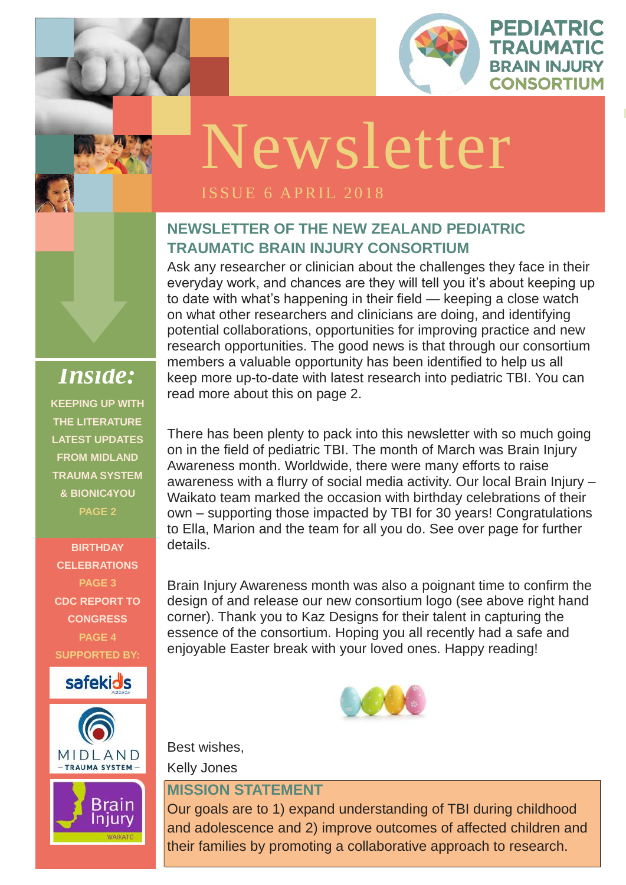

EDIATRIC

TRAUMATIC

**BRAIN INJURY** 

**CONSORTIUM** 

**ISSUE 1 OCTOBER** 

#### **NEWSLETTER OF THE NEW ZEALAND PEDIATRIC TRAUMATIC BRAIN INJURY CONSORTIUM**

Ask any researcher or clinician about the challenges they face in their everyday work, and chances are they will tell you it's about keeping up to date with what's happening in their field — keeping a close watch on what other researchers and clinicians are doing, and identifying potential collaborations, opportunities for improving practice and new research opportunities. The good news is that through our consortium members a valuable opportunity has been identified to help us all keep more up-to-date with latest research into pediatric TBI. You can read more about this on page 2.

Brain Injury Awareness month was also a poignant time to confirm the design of and release our new consortium logo (see above right hand corner). Thank you to Kaz Designs for their talent in capturing the essence of the consortium. Hoping you all recently had a safe and enjoyable Easter break with your loved ones. Happy reading!

There has been plenty to pack into this newsletter with so much going on in the field of pediatric TBI. The month of March was Brain Injury Awareness month. Worldwide, there were many efforts to raise awareness with a flurry of social media activity. Our local Brain Injury – Waikato team marked the occasion with birthday celebrations of their own – supporting those impacted by TBI for 30 years! Congratulations to Ella, Marion and the team for all you do. See over page for further details.



Kelly Jones



#### **MISSION STATEMENT**

Our goals are to 1) expand understanding of TBI during childhood and adolescence and 2) improve outcomes of affected children and their families by promoting a collaborative approach to research.



*Inside:* **KEEPING UP WITH THE LITERATURE LATEST UPDATES FROM MIDLAND TRAUMA SYSTEM & BIONIC4YOU PAGE 2**

**BIRTHDAY CELEBRATIONS PAGE 3 CDC REPORT TO CONGRESS PAGE 4 SUPPORTED BY:**





# Newsletter

#### **ISSUE 6 APRIL 2018**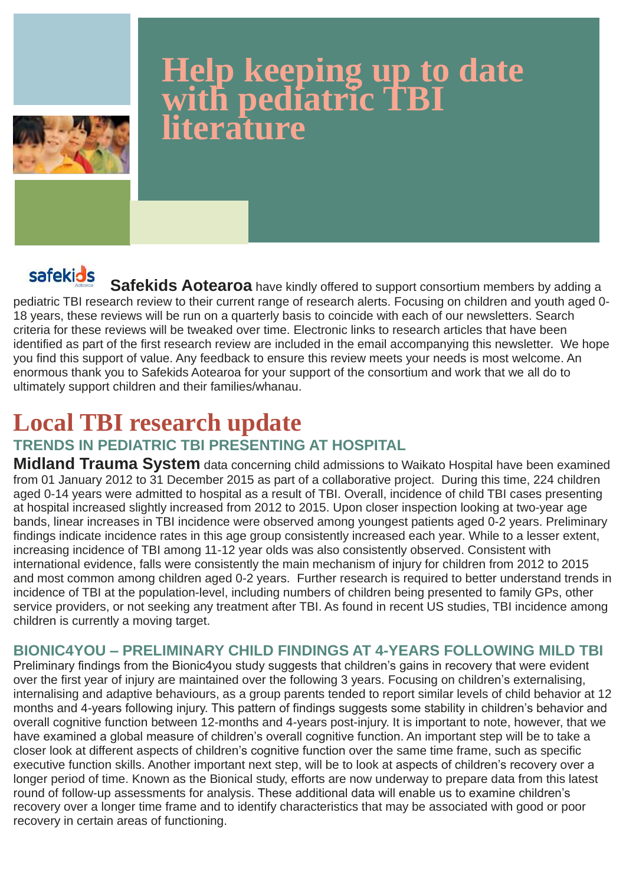**Safekids Aotearoa** have kindly offered to support consortium members by adding a pediatric TBI research review to their current range of research alerts. Focusing on children and youth aged 0- 18 years, these reviews will be run on a quarterly basis to coincide with each of our newsletters. Search criteria for these reviews will be tweaked over time. Electronic links to research articles that have been identified as part of the first research review are included in the email accompanying this newsletter. We hope you find this support of value. Any feedback to ensure this review meets your needs is most welcome. An enormous thank you to Safekids Aotearoa for your support of the consortium and work that we all do to ultimately support children and their families/whanau.

### **Local TBI research update TRENDS IN PEDIATRIC TBI PRESENTING AT HOSPITAL**

**Midland Trauma System** data concerning child admissions to Waikato Hospital have been examined from 01 January 2012 to 31 December 2015 as part of a collaborative project. During this time, 224 children aged 0-14 years were admitted to hospital as a result of TBI. Overall, incidence of child TBI cases presenting at hospital increased slightly increased from 2012 to 2015. Upon closer inspection looking at two-year age bands, linear increases in TBI incidence were observed among youngest patients aged 0-2 years. Preliminary findings indicate incidence rates in this age group consistently increased each year. While to a lesser extent, increasing incidence of TBI among 11-12 year olds was also consistently observed. Consistent with international evidence, falls were consistently the main mechanism of injury for children from 2012 to 2015 and most common among children aged 0-2 years. Further research is required to better understand trends in incidence of TBI at the population-level, including numbers of children being presented to family GPs, other service providers, or not seeking any treatment after TBI. As found in recent US studies, TBI incidence among children is currently a moving target.

#### **BIONIC4YOU – PRELIMINARY CHILD FINDINGS AT 4-YEARS FOLLOWING MILD TBI**  Preliminary findings from the Bionic4you study suggests that children's gains in recovery that were evident

over the first year of injury are maintained over the following 3 years. Focusing on children's externalising, internalising and adaptive behaviours, as a group parents tended to report similar levels of child behavior at 12 months and 4-years following injury. This pattern of findings suggests some stability in children's behavior and overall cognitive function between 12-months and 4-years post-injury. It is important to note, however, that we have examined a global measure of children's overall cognitive function. An important step will be to take a closer look at different aspects of children's cognitive function over the same time frame, such as specific executive function skills. Another important next step, will be to look at aspects of children's recovery over a longer period of time. Known as the Bionical study, efforts are now underway to prepare data from this latest round of follow-up assessments for analysis. These additional data will enable us to examine children's recovery over a longer time frame and to identify characteristics that may be associated with good or poor recovery in certain areas of functioning.

### **Help keeping up to date with pediatric TBI literature**

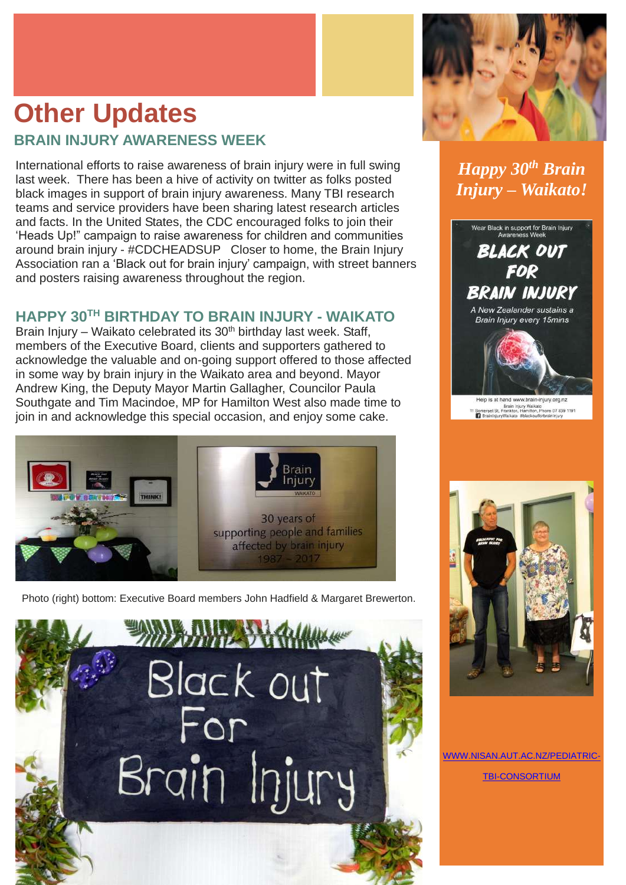International efforts to raise awareness of brain injury were in full swing last week. There has been a hive of activity on twitter as folks posted black images in support of brain injury awareness. Many TBI research teams and service providers have been sharing latest research articles and facts. In the United States, the CDC encouraged folks to join their 'Heads Up!" campaign to raise awareness for children and communities around brain injury - #CDCHEADSUP Closer to home, the Brain Injury Association ran a 'Black out for brain injury' campaign, with street banners and posters raising awareness throughout the region.

Brain Injury – Waikato celebrated its  $30<sup>th</sup>$  birthday last week. Staff, members of the Executive Board, clients and supporters gathered to acknowledge the valuable and on-going support offered to those affected in some way by brain injury in the Waikato area and beyond. Mayor Andrew King, the Deputy Mayor Martin Gallagher, Councilor Paula Southgate and Tim Macindoe, MP for Hamilton West also made time to join in and acknowledge this special occasion, and enjoy some cake.



#### **HAPPY 30TH BIRTHDAY TO BRAIN INJURY - WAIKATO**

Photo (right) bottom: Executive Board members John Hadfield & Margaret Brewerton.





#### *Happy 30th Brain Injury – Waikato!*



Help is at hand www.brain-injury.org.nz Brain Injury Walkate<br>11 Somerset St, Frankton, Hamilton, Phone 07 839 1191<br>
T BrainInjuryWalkate #blackoutforbrainInjury





#### [WWW.NISAN.AUT.AC.NZ/PEDIATRIC-](Previous%20drafts/www.nisan.aut.ac.nz/Pediatric-TBI-Consortium)

#### [TBI-CONSORTIUM](Previous%20drafts/www.nisan.aut.ac.nz/Pediatric-TBI-Consortium)

- 
- 

### **Other Updates BRAIN INJURY AWARENESS WEEK**